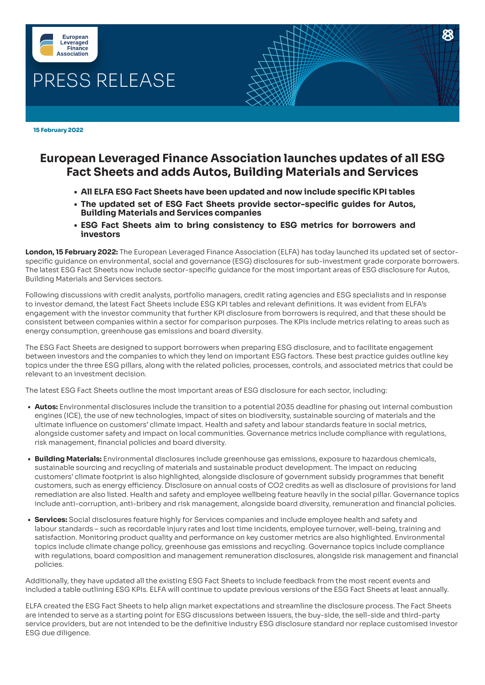

 **15 February 2022**

## **European Leveraged Finance Association launches updates of all ESG Fact Sheets and adds Autos, Building Materials and Services**

- **• All ELFA ESG Fact Sheets have been updated and now include specific KPI tables**
- **• The updated set of ESG Fact Sheets provide sector-specific guides for Autos, Building Materials and Services companies**
- **• ESG Fact Sheets aim to bring consistency to ESG metrics for borrowers and investors**

**London, 15 February 2022:** The European Leveraged Finance Association (ELFA) has today launched its updated set of sectorspecific guidance on environmental, social and governance (ESG) disclosures for sub-investment grade corporate borrowers. The latest ESG Fact Sheets now include sector-specific guidance for the most important areas of ESG disclosure for Autos, Building Materials and Services sectors.

Following discussions with credit analysts, portfolio managers, credit rating agencies and ESG specialists and in response to investor demand, the latest Fact Sheets include ESG KPI tables and relevant definitions. It was evident from ELFA's engagement with the investor community that further KPI disclosure from borrowers is required, and that these should be consistent between companies within a sector for comparison purposes. The KPIs include metrics relating to areas such as energy consumption, greenhouse gas emissions and board diversity.

The ESG Fact Sheets are designed to support borrowers when preparing ESG disclosure, and to facilitate engagement between investors and the companies to which they lend on important ESG factors. These best practice guides outline key topics under the three ESG pillars, along with the related policies, processes, controls, and associated metrics that could be relevant to an investment decision.

The latest ESG Fact Sheets outline the most important areas of ESG disclosure for each sector, including:

- **• Autos:** Environmental disclosures include the transition to a potential 2035 deadline for phasing out internal combustion engines (ICE), the use of new technologies, impact of sites on biodiversity, sustainable sourcing of materials and the ultimate influence on customers' climate impact. Health and safety and labour standards feature in social metrics, alongside customer safety and impact on local communities. Governance metrics include compliance with regulations, risk management, financial policies and board diversity.
- **• Building Materials:** Environmental disclosures include greenhouse gas emissions, exposure to hazardous chemicals, sustainable sourcing and recycling of materials and sustainable product development. The impact on reducing customers' climate footprint is also highlighted, alongside disclosure of government subsidy programmes that benefit customers, such as energy efficiency. Disclosure on annual costs of CO2 credits as well as disclosure of provisions for land remediation are also listed. Health and safety and employee wellbeing feature heavily in the social pillar. Governance topics include anti-corruption, anti-bribery and risk management, alongside board diversity, remuneration and financial policies.
- **• Services:** Social disclosures feature highly for Services companies and include employee health and safety and labour standards – such as recordable injury rates and lost time incidents, employee turnover, well-being, training and satisfaction. Monitoring product quality and performance on key customer metrics are also highlighted. Environmental topics include climate change policy, greenhouse gas emissions and recycling. Governance topics include compliance with regulations, board composition and management remuneration disclosures, alongside risk management and financial policies.

Additionally, they have updated all the existing ESG Fact Sheets to include feedback from the most recent events and included a table outlining ESG KPIs. ELFA will continue to update previous versions of the ESG Fact Sheets at least annually.

ELFA created the ESG Fact Sheets to help align market expectations and streamline the disclosure process. The Fact Sheets are intended to serve as a starting point for ESG discussions between issuers, the buy-side, the sell-side and third-party service providers, but are not intended to be the definitive industry ESG disclosure standard nor replace customised investor ESG due diligence.